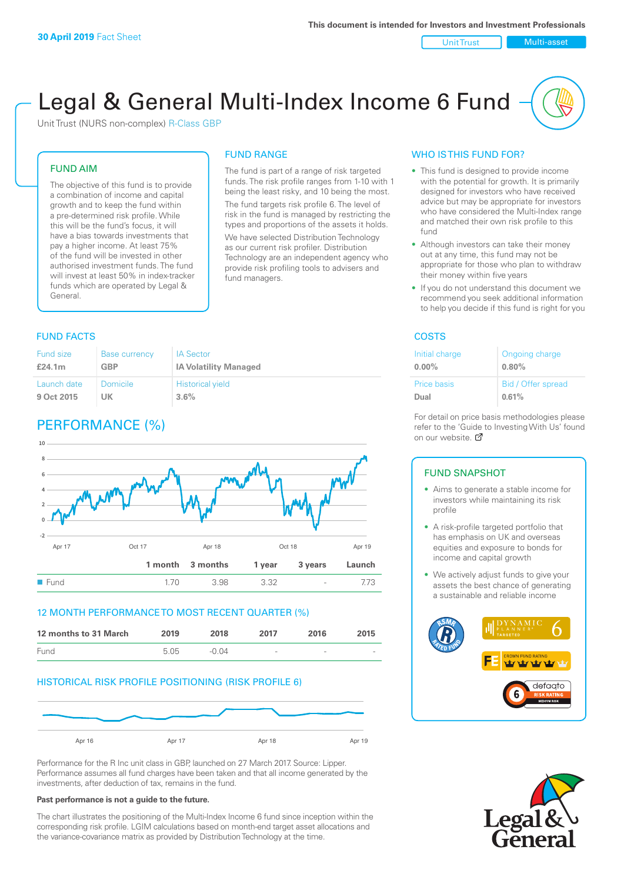Unit Trust Nulti-asset

# Legal & General Multi-Index Income 6 Fund

Unit Trust (NURS non-complex) R-Class GBP

#### FUND AIM

The objective of this fund is to provide a combination of income and capital growth and to keep the fund within a pre-determined risk profile. While this will be the fund's focus, it will have a bias towards investments that pay a higher income. At least 75% of the fund will be invested in other authorised investment funds. The fund will invest at least 50% in index-tracker funds which are operated by Legal & General.

## FUND RANGE

The fund is part of a range of risk targeted funds. The risk profile ranges from 1-10 with 1 being the least risky, and 10 being the most. The fund targets risk profile 6. The level of risk in the fund is managed by restricting the

types and proportions of the assets it holds. We have selected Distribution Technology as our current risk profiler. Distribution Technology are an independent agency who provide risk profiling tools to advisers and fund managers.

### **FUND FACTS** COSTS

| Fund size   | <b>Base currency</b> | <b>IA Sector</b>             |
|-------------|----------------------|------------------------------|
| £24.1m      | <b>GBP</b>           | <b>IA Volatility Managed</b> |
| Launch date | Domicile             | <b>Historical yield</b>      |
| 9 Oct 2015  | UK                   | 3.6%                         |

### PERFORMANCE (%)



#### 12 MONTH PERFORMANCE TO MOST RECENT QUARTER (%)



#### HISTORICAL RISK PROFILE POSITIONING (RISK PROFILE 6)



Performance for the R Inc unit class in GBP, launched on 27 March 2017. Source: Lipper. Performance assumes all fund charges have been taken and that all income generated by the investments, after deduction of tax, remains in the fund.

#### **Past performance is not a guide to the future.**

The chart illustrates the positioning of the Multi-Index Income 6 fund since inception within the corresponding risk profile. LGIM calculations based on month-end target asset allocations and the variance-covariance matrix as provided by Distribution Technology at the time.

#### WHO IS THIS FUND FOR?

- This fund is designed to provide income with the potential for growth. It is primarily designed for investors who have received advice but may be appropriate for investors who have considered the Multi-Index range and matched their own risk profile to this fund
- Although investors can take their money out at any time, this fund may not be appropriate for those who plan to withdraw their money within five years
- If you do not understand this document we recommend you seek additional information to help you decide if this fund is right for you

| Initial charge | Ongoing charge     |
|----------------|--------------------|
| $0.00\%$       | 0.80%              |
| Price basis    | Bid / Offer spread |
| Dual           | 0.61%              |

For detail on price basis methodologies please refer to the 'Gu[ide t](http://www.legalandgeneral.com/guide)o Investing With Us' found on our website. Ø

#### FUND SNAPSHOT

- Aims to generate a stable income for investors while maintaining its risk profile
- A risk-profile targeted portfolio that has emphasis on UK and overseas equities and exposure to bonds for income and capital growth
- We actively adjust funds to give your assets the best chance of generating a sustainable and reliable income



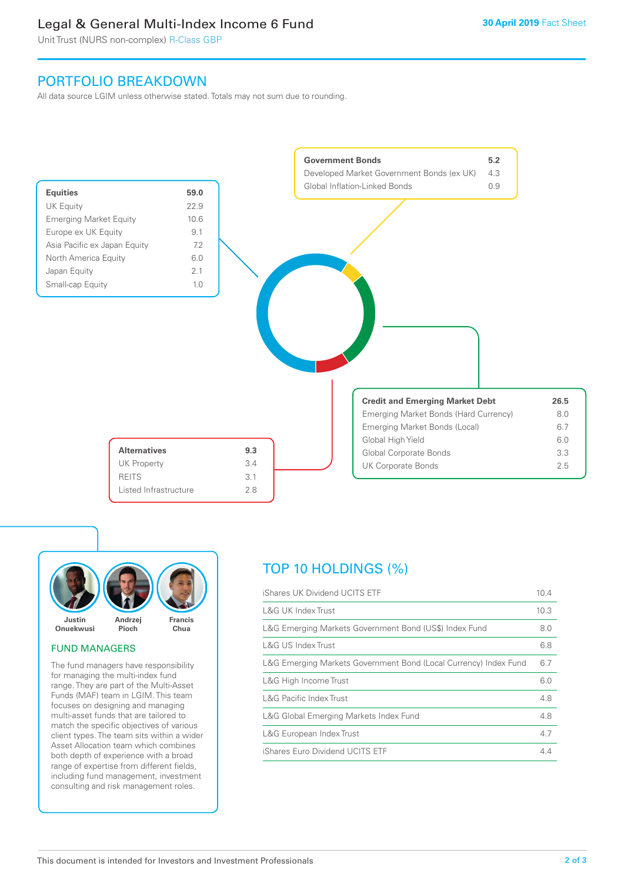### Legal & General Multi-Index Income 6 Fund

Unit Trust (NURS non-complex) R-Class GBP

### PORTFOLIO BREAKDOWN

All data source LGIM unless otherwise stated. Totals may not sum due to rounding.





#### FUND MANAGERS

The fund managers have responsibility for managing the multi-index fund range. They are part of the Multi-Asset Funds (MAF) team in LGIM. This team focuses on designing and managing multi-asset funds that are tailored to match the specific objectives of various client types. The team sits within a wider Asset Allocation team which combines both depth of experience with a broad range of expertise from different fields, including fund management, investment consulting and risk management roles.

### TOP 10 HOLDINGS (%)

| iShares UK Dividend UCITS ETF                                    | 10.4 |
|------------------------------------------------------------------|------|
| <b>L&amp;G UK Index Trust</b>                                    | 10.3 |
| L&G Emerging Markets Government Bond (US\$) Index Fund           | 8.0  |
| L&G US Index Trust                                               | 6.8  |
| L&G Emerging Markets Government Bond (Local Currency) Index Fund | 6.7  |
| L&G High Income Trust                                            | 6.0  |
| <b>L&amp;G Pacific Index Trust</b>                               | 4.8  |
| L&G Global Emerging Markets Index Fund                           | 4.8  |
| L&G European Index Trust                                         | 4.7  |
| iShares Euro Dividend UCITS ETF                                  | 44   |